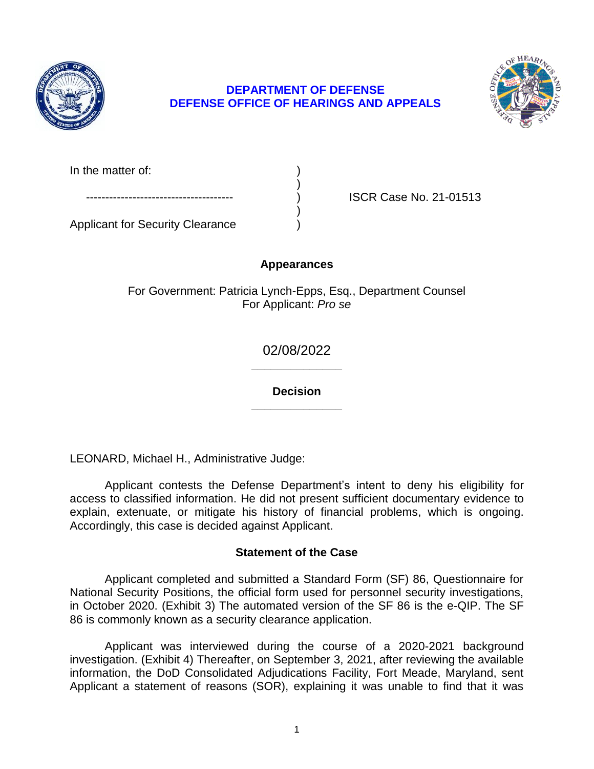

## **DEFENSE OFFICE OF HEARINGS AND APPEALS DEPARTMENT OF DEFENSE**



In the matter of:

ISCR Case No. 21-01513

Applicant for Security Clearance )

# **Appearances**

)

)

For Government: Patricia Lynch-Epps, Esq., Department Counsel For Applicant: *Pro se* 

> **\_\_\_\_\_\_\_\_\_\_\_\_\_\_**  02/08/2022

> **\_\_\_\_\_\_\_\_\_\_\_\_\_\_ Decision**

LEONARD, Michael H., Administrative Judge:

 Applicant contests the Defense Department's intent to deny his eligibility for access to classified information. He did not present sufficient documentary evidence to explain, extenuate, or mitigate his history of financial problems, which is ongoing. Accordingly, this case is decided against Applicant.

# **Statement of the Case**

 Applicant completed and submitted a Standard Form (SF) 86, Questionnaire for National Security Positions, the official form used for personnel security investigations, in October 2020. (Exhibit 3) The automated version of the SF 86 is the e-QIP. The SF 86 is commonly known as a security clearance application.

 Applicant was interviewed during the course of a 2020-2021 background investigation. (Exhibit 4) Thereafter, on September 3, 2021, after reviewing the available Applicant a statement of reasons (SOR), explaining it was unable to find that it was information, the DoD Consolidated Adjudications Facility, Fort Meade, Maryland, sent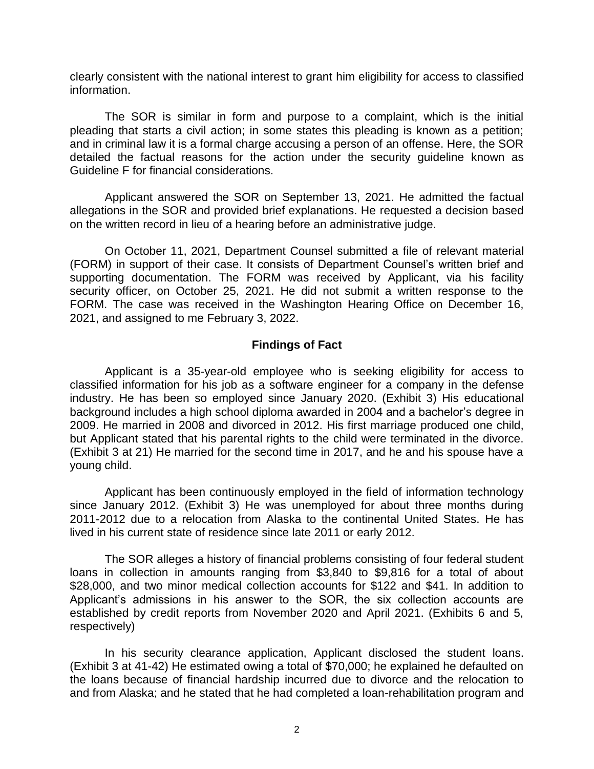clearly consistent with the national interest to grant him eligibility for access to classified information.

 The SOR is similar in form and purpose to a complaint, which is the initial pleading that starts a civil action; in some states this pleading is known as a petition; and in criminal law it is a formal charge accusing a person of an offense. Here, the SOR detailed the factual reasons for the action under the security guideline known as Guideline F for financial considerations.

 Applicant answered the SOR on September 13, 2021. He admitted the factual allegations in the SOR and provided brief explanations. He requested a decision based on the written record in lieu of a hearing before an administrative judge.

 On October 11, 2021, Department Counsel submitted a file of relevant material (FORM) in support of their case. It consists of Department Counsel's written brief and supporting documentation. The FORM was received by Applicant, via his facility security officer, on October 25, 2021. He did not submit a written response to the FORM. The case was received in the Washington Hearing Office on December 16, 2021, and assigned to me February 3, 2022.

### **Findings of Fact**

 Applicant is a 35-year-old employee who is seeking eligibility for access to classified information for his job as a software engineer for a company in the defense industry. He has been so employed since January 2020. (Exhibit 3) His educational background includes a high school diploma awarded in 2004 and a bachelor's degree in 2009. He married in 2008 and divorced in 2012. His first marriage produced one child, but Applicant stated that his parental rights to the child were terminated in the divorce. (Exhibit 3 at 21) He married for the second time in 2017, and he and his spouse have a young child.

 Applicant has been continuously employed in the field of information technology since January 2012. (Exhibit 3) He was unemployed for about three months during 2011-2012 due to a relocation from Alaska to the continental United States. He has lived in his current state of residence since late 2011 or early 2012.

 The SOR alleges a history of financial problems consisting of four federal student loans in collection in amounts ranging from \$3,840 to \$9,816 for a total of about \$28,000, and two minor medical collection accounts for \$122 and \$41. In addition to Applicant's admissions in his answer to the SOR, the six collection accounts are established by credit reports from November 2020 and April 2021. (Exhibits 6 and 5, respectively)

 In his security clearance application, Applicant disclosed the student loans. (Exhibit 3 at 41-42) He estimated owing a total of \$70,000; he explained he defaulted on the loans because of financial hardship incurred due to divorce and the relocation to and from Alaska; and he stated that he had completed a loan-rehabilitation program and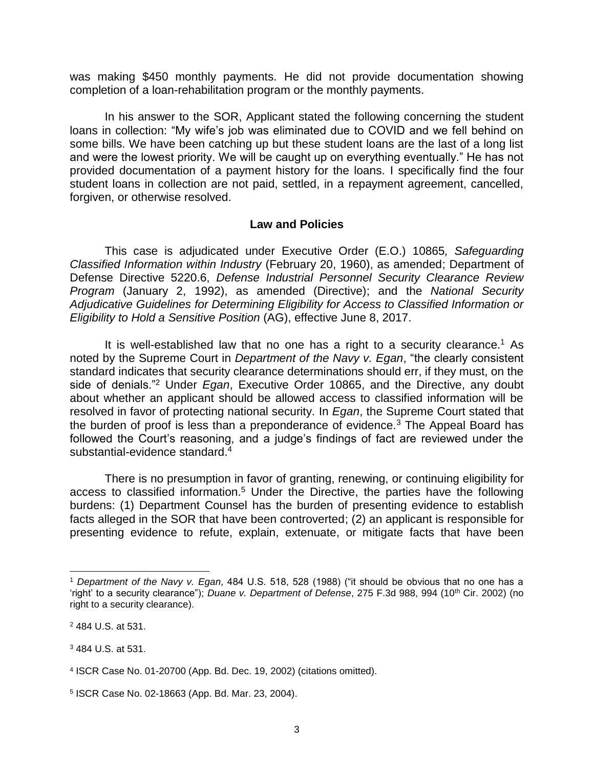was making \$450 monthly payments. He did not provide documentation showing completion of a loan-rehabilitation program or the monthly payments.

 In his answer to the SOR, Applicant stated the following concerning the student loans in collection: "My wife's job was eliminated due to COVID and we fell behind on some bills. We have been catching up but these student loans are the last of a long list and were the lowest priority. We will be caught up on everything eventually." He has not provided documentation of a payment history for the loans. I specifically find the four student loans in collection are not paid, settled, in a repayment agreement, cancelled, forgiven, or otherwise resolved.

#### **Law and Policies**

 Defense Directive 5220.6, *Defense Industrial Personnel Security Clearance Review Adjudicative Guidelines for Determining Eligibility for Access to Classified Information or*  This case is adjudicated under Executive Order (E.O.) 10865*, Safeguarding Classified Information within Industry* (February 20, 1960), as amended; Department of *Program* (January 2, 1992), as amended (Directive); and the *National Security Eligibility to Hold a Sensitive Position* (AG), effective June 8, 2017.

It is well-established law that no one has a right to a security clearance.<sup>1</sup> As noted by the Supreme Court in *Department of the Navy v. Egan*, "the clearly consistent standard indicates that security clearance determinations should err, if they must, on the side of denials."2 Under *Egan*, Executive Order 10865, and the Directive, any doubt about whether an applicant should be allowed access to classified information will be resolved in favor of protecting national security. In *Egan*, the Supreme Court stated that the burden of proof is less than a preponderance of evidence.<sup>3</sup> The Appeal Board has followed the Court's reasoning, and a judge's findings of fact are reviewed under the substantial-evidence standard.<sup>4</sup>

 There is no presumption in favor of granting, renewing, or continuing eligibility for access to classified information.<sup>5</sup> Under the Directive, the parties have the following burdens: (1) Department Counsel has the burden of presenting evidence to establish facts alleged in the SOR that have been controverted; (2) an applicant is responsible for presenting evidence to refute, explain, extenuate, or mitigate facts that have been

 $\overline{a}$ 

<sup>1</sup>*Department of the Navy v. Egan*, 484 U.S. 518, 528 (1988) ("it should be obvious that no one has a 'right' to a security clearance"); *Duane v. Department of Defense*, 275 F.3d 988, 994 (10<sup>th</sup> Cir. 2002) (no right to a security clearance).

<sup>2 484</sup> U.S. at 531.

<sup>3</sup> 484 U.S. at 531.

<sup>4</sup> ISCR Case No. 01-20700 (App. Bd. Dec. 19, 2002) (citations omitted).

<sup>5</sup> ISCR Case No. 02-18663 (App. Bd. Mar. 23, 2004).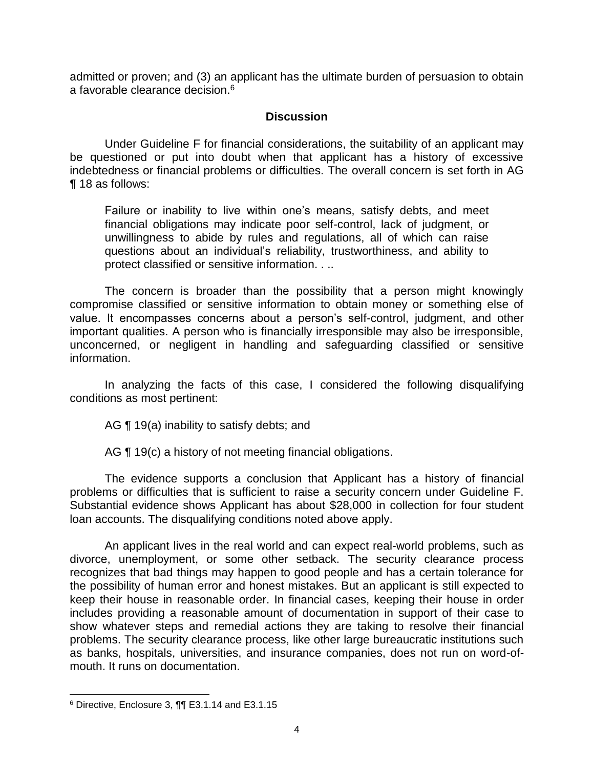admitted or proven; and (3) an applicant has the ultimate burden of persuasion to obtain a favorable clearance decision.6

### **Discussion**

 Under Guideline F for financial considerations, the suitability of an applicant may be questioned or put into doubt when that applicant has a history of excessive indebtedness or financial problems or difficulties. The overall concern is set forth in AG ¶ 18 as follows:

Failure or inability to live within one's means, satisfy debts, and meet financial obligations may indicate poor self-control, lack of judgment, or unwillingness to abide by rules and regulations, all of which can raise questions about an individual's reliability, trustworthiness, and ability to protect classified or sensitive information. . ..

 The concern is broader than the possibility that a person might knowingly compromise classified or sensitive information to obtain money or something else of value. It encompasses concerns about a person's self-control, judgment, and other important qualities. A person who is financially irresponsible may also be irresponsible, unconcerned, or negligent in handling and safeguarding classified or sensitive information.

 In analyzing the facts of this case, I considered the following disqualifying conditions as most pertinent:

AG **[19(a)** inability to satisfy debts; and

AG ¶ 19(c) a history of not meeting financial obligations.

 The evidence supports a conclusion that Applicant has a history of financial problems or difficulties that is sufficient to raise a security concern under Guideline F. Substantial evidence shows Applicant has about \$28,000 in collection for four student loan accounts. The disqualifying conditions noted above apply.

 An applicant lives in the real world and can expect real-world problems, such as recognizes that bad things may happen to good people and has a certain tolerance for the possibility of human error and honest mistakes. But an applicant is still expected to keep their house in reasonable order. In financial cases, keeping their house in order includes providing a reasonable amount of documentation in support of their case to show whatever steps and remedial actions they are taking to resolve their financial problems. The security clearance process, like other large bureaucratic institutions such as banks, hospitals, universities, and insurance companies, does not run on word-ofdivorce, unemployment, or some other setback. The security clearance process mouth. It runs on documentation.

 $\overline{a}$ 

 $6$  Directive, Enclosure 3,  $\P$  $\P$  E3.1.14 and E3.1.15